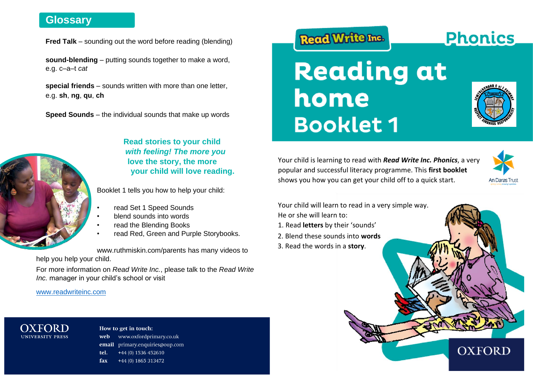# **Glossary**

 **Fred Talk** – sounding out the word before reading (blending)

**sound-blending** – putting sounds together to make a word, e.g. c–a–t *cat*

**special friends** – sounds written with more than one letter, e.g. **sh**, **ng**, **qu**, **ch**

**Speed Sounds** – the individual sounds that make up words



**Read stories to your child**  *with feeling! The more you*  **love the story, the more your child will love reading.**

Booklet 1 tells you how to help your child:

- read Set 1 Speed Sounds
- blend sounds into words
- read the Blending Books
- read Red, Green and Purple Storybooks.

[www.ruthmiskin.com/parents](http://www.ruthmiskin.com/parents) has many videos to help you help your child.

For more information on *Read Write Inc.*, please talk to the *Read Write Inc.* manager in your child's school or visit

#### [www.readwriteinc.com](http://www.readwriteinc.com/)

#### OXFORD **UNIVERSITY PRESS**

#### How to get in touch: web www.oxfordprimary.co.uk email primary.enquiries@oup.com tel. +44 (0) 1536 452610 fax +44 (0) 1865 313472

# Read Write Inc.





**Phonics** 

Your child is learning to read with *Read Write Inc. Phonics*, a very popular and successful literacy programme. This **first booklet**  shows you how you can get your child off to a quick start.



Your child will learn to read in a very simple way.

- He or she will learn to:
- 1. Read **letters** by their 'sounds'
- 2. Blend these sounds into **words**
- 3. Read the words in a **story**.

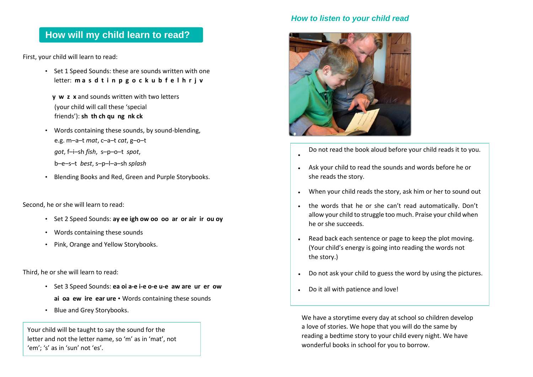# **How will my child learn to read?**

First, your child will learn to read:

- Set 1 Speed Sounds: these are sounds written with one letter: **m a s d t i n p g o c k u b f e l h r j v**
	- **y w z x** and sounds written with two letters (your child will call these 'special friends'): **sh th ch qu ng nk ck**
- Words containing these sounds, by sound-blending, e.g. m–a–t *mat*, c–a–t *cat*, g–o–t *got*, f–i–sh *fish*, s–p–o–t *spot*, b–e–s–t *best*, s–p–l–a–sh *splash*
- Blending Books and Red, Green and Purple Storybooks.

Second, he or she will learn to read:

- Set 2 Speed Sounds: **ay ee igh ow oo oo ar or air ir ou oy**
- Words containing these sounds
- Pink, Orange and Yellow Storybooks.

Third, he or she will learn to read:

- Set 3 Speed Sounds: **ea oi a-e i-e o-e u-e aw are ur er ow ai oa ew ire ear ure** • Words containing these sounds
- Blue and Grey Storybooks.

Your child will be taught to say the sound for the letter and not the letter name, so 'm' as in 'mat', not 'em'; 's' as in 'sun' not 'es'.

### *How to listen to your child read*



•

- Do not read the book aloud before your child reads it to you.
- Ask your child to read the sounds and words before he or she reads the story.
- When your child reads the story, ask him or her to sound out
- the words that he or she can't read automatically. Don't allow your child to struggle too much. Praise your child when he or she succeeds.
- Read back each sentence or page to keep the plot moving. (Your child's energy is going into reading the words not the story.)
- Do not ask your child to guess the word by using the pictures.
- Do it all with patience and love!

We have a storytime every day at school so children develop a love of stories. We hope that you will do the same by reading a bedtime story to your child every night. We have wonderful books in school for you to borrow.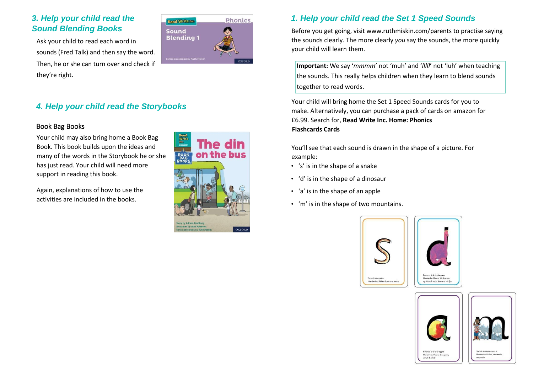## *3. Help your child read the Sound Blending Books*

Ask your child to read each word in sounds (Fred Talk) and then say the word. Then, he or she can turn over and check if they're right.



#### Book Bag Books

Your child may also bring home a Book Bag Book. This book builds upon the ideas and many of the words in the Storybook he or she has just read. Your child will need more support in reading this book.

Again, explanations of how to use the activities are included in the books.



Phonics

Read Write Inc Sound **Blending 1** 

# *1. Help your child read the Set 1 Speed Sounds*

Before you get going, visit [www.ruthmiskin.com/parents](http://www.ruthmiskin.com/parents) to practise saying the sounds clearly. The more clearly *you* say the sounds, the more quickly your child will learn them.

**Important:** We say '*mmmm*' not 'muh' and '*lllll*' not 'luh' when teaching the sounds. This really helps children when they learn to blend sounds together to read words.

Your child will bring home the Set 1 Speed Sounds cards for you to make. Alternatively, you can purchase a pack of cards on amazon for £6.99. Search for, **Read Write Inc. Home: Phonics Flashcards Cards** 

You'll see that each sound is drawn in the shape of a picture. For example:

- 's' is in the shape of a snake
- 'd' is in the shape of a dinosaur
- 'a' is in the shape of an apple
- 'm' is in the shape of two mountains.